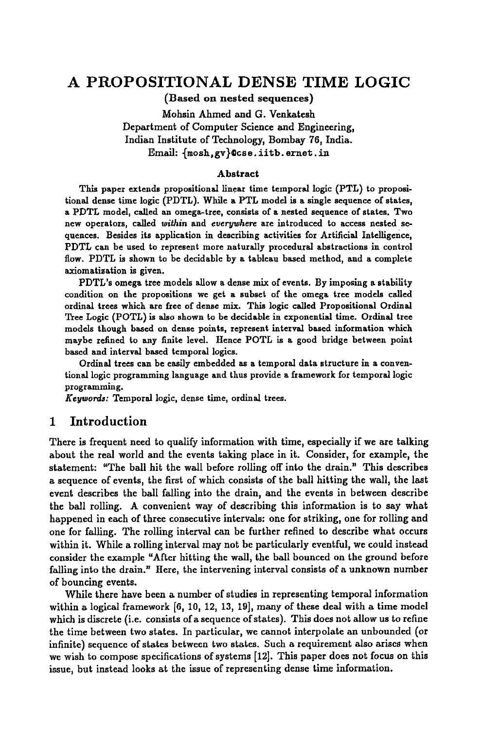# **A PROPOSITIONAL DENSE TIME LOGIC**

(Based on nested sequences)

Mohsin Ahmed and G. Venkatesh Department of Computer Science and Engineering, Indian Institute of Technology, Bombay 76, India. Email: {mosh,gv}@cse. iitb. ernet, in

# Abstract

This paper extends propositional linear time temporal logic (PTL) to propositional dense time logic (PDTL). While a PTL model is a single sequence of states, a PDTL model, called an omega-tree, consists of a nested sequence of states. Two new operators, called *within and everywhere* are introduced to access nested sequences. Besides its application in describing activities for Artificial Intelligence, PDTL can be used to represent more naturally procedural abstractions in control flow. PDTL is shown to be decidable by a tableau based method, and a complete axiomatization is given.

PDTL's omega tree models allow a dense mix of events. By imposing a stability condition on the propositions we get a subset of the omega tree models called ordinal trees which are free of dense mix. This logic called Propositional Ordinal Tree Logic (POTL) is also shown to be decidable in exponential time. Ordinal tree models though based on dense points, represent interval based information which maybe refined to any finite level. Hence POTL is a good bridge between point based and interval based temporal logics.

Ordinal trees can be easily embedded as a temporal data structure in a conventional logic programming language and thus provide a framework for temporal logic programming.

*Keytuorda:* Temporal logic, dense time, ordinal trees.

# **1 Introduction**

There is frequent need to qualify information with time, especially if we are talking about the real world and the events taking place in it. Consider, for example, the statement: "The ball hit the wall before rolling off into the drain." This describes a sequence of events, the first of which consists of the ball hitting the wall, the last event describes the ball falling into the drain, and the events in between describe the ball rolling. A convenient way of describing this information is to say what happened in each of three consecutive intervals: one for striking, one for rolling and one for falling. The rolling interval can be further refined to describe what occurs within it. While a rolling interval may not be particularly eventful, we could instead consider the example "After hitting the wall, the ball bounced on the ground before falling into the drain." Here, the intervening interval consists of a unknown number of bouncing events.

While there have been a number of studies in representing temporal information within a logical framework  $[6, 10, 12, 13, 19]$ , many of these deal with a time model which is discrete (i.e. consists of a sequence of states). This does not allow us to refine the time between two states. In particular, we cannot interpolate an unbounded (or infinite) sequence of states between two states. Such a requirement also ariscs when we wish to compose specifications of systems [12]. This paper does not focus on this issue, but instead looks at the issue of representing dense time information.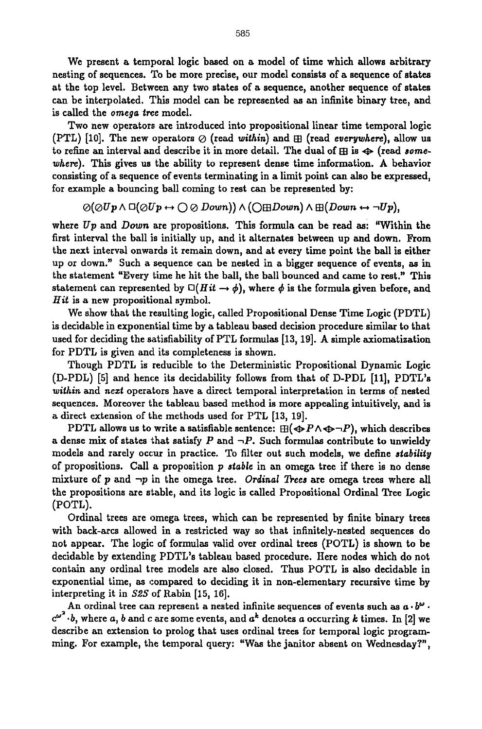We present a temporal logic based on a model of time which allows arbitrary nesting of sequences. To be more precise, our model consists of a sequence of states at the top level. Between any two states of a sequence, another sequence of states can be interpolated. This model can be represented as an infinite binary tree, and is called the *omega tree* model.

Two new operators are introduced into propositional linear time temporal logic (PTL) [10]. The new operators  $\oslash$  (read *within*) and  $\boxplus$  (read *everywhere*), allow us to refine an interval and describe it in more detail. The dual of  $\boxplus$  is  $\Leftrightarrow$  (read *some* $where$ ). This gives us the ability to represent dense time information. A behavior consisting of a sequence of events terminating in a limit point can also be expressed, for example a bouncing ball coming to rest can be represented by:

$$
\oslash(\oslash Up\wedge \Box(\oslash Up\leftrightarrow\bigcirc\oslash Down))\wedge(\bigcirc\boxplus Down)\wedge \boxplus(Down\leftrightarrow\neg Up),
$$

where *Up* and *Down* are propositions. This formula can be read as: "Within the first interval the ball is initially up, and it alternates between up and down. From the next interval onwards it remain down, and at every time point the ball is either up or down." Such a sequence can be nested in a bigger sequence of events, as in the statement "Every time he hit the ball, the ball bounced and came to rest." This statement can represented by  $\Box(Hit \rightarrow \phi)$ , where  $\phi$  is the formula given before, and *Hit* is a new propositional symbol.

We show that the resulting logic, called Propositional Dense Time Logic (PDTL) is decidable in exponential time by a tableau based decision procedure similar to that used for deciding the satisfiability of PTL formulas [13, 19]. A simple axiomatization for PDTL is given and its completeness is shown.

Though PDTL is reducible to the Deterministic Propositional Dynamic Logic (D-PDL) [5] and hence its decidability follows from that of D-PDL [11], PDTL's within and next operators have a direct temporal interpretation in terms of nested sequences. Moreover the tableau based method is more appealing intuitively, and is a direct extension of the methods used for PTL [13, 19].

PDTL allows us to write a satisfiable sentence:  $\boxplus (\bigoplus P \land \bigoplus \neg P)$ , which describes a dense mix of states that satisfy P and  $\neg P$ . Such formulas contribute to unwieldy models and rarely occur in practice. To filter out such models, we define *stability*  of propositions. Call a proposition *p stable* in an omega tree if there is no dense mixture of p and  $\neg p$  in the omega tree. *Ordinal Trees* are omega trees where all the propositions are stable, and its logic is called Propositional Ordinal Tree Logic (POTL).

Ordinal trees are omega trees, which can be represented by finite binary trees with back-arcs allowed in a restricted way so that infinitely-nested sequences do not appear. The logic of formulas valid over ordinal trees (POTL) is shown to be decidable by extending PDTL's tableau based procedure. Here nodes which do not contain any ordinal tree models are also Closed. Thus POTL is also decidable in exponential time, as compared to deciding it in non-elementary recursive time by interpreting it in \$2S of Rabin [15, 16].

An ordinal tree can represent a nested infinite sequences of events such as  $a \cdot b^{\omega}$ .  $c^{\omega^2}$  b, where a, b and c are some events, and  $a^k$  denotes a occurring k times. In [2] we describe an extension to prolog that uses ordinal trees for temporal logic programming. For example, the temporal query: "Was the janitor absent on Wednesday?",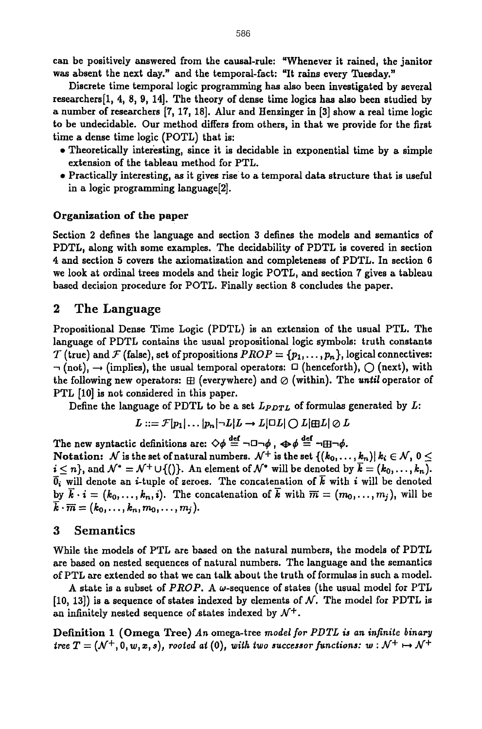can be positively answered from the causal-rule: "Whenever it rained, the janitor was absent the next day." and the temporal-fact: "It rains every Tuesday."

Discrete time temporal logic programming has also been investigated by several researchers $[1, 4, 8, 9, 14]$ . The theory of dense time logics has also been studied by a number of researchers [7, 17, 18]. Alur and Henzinger in [3] show a real time logic to be undecidable. Our method differs from others, in that we provide for the first time a dense time logic (POTL) that is:

- 9 Theoretically interesting, since it is decidable in exponential time by a simple extension of the tableau method for PTL.
- 9 Practically interesting, as it gives rise to a temporal data structure that is useful in a logic programming language[2].

#### Organization of the paper

Section 2 defines the language and section 3 defines the models and semantics of PDTL, along with some examples. The decidability of PDTL is covered in section 4 and section 5 covers the axiomatization and completeness of PDTL. In section 6 we look at ordinal trees models and their logic POTL, and section 7 gives a tableau based decision procedure for POTL. Finally section 8 concludes the paper.

# 2 The Language

Propositional Dense Time Logic (PDTL) is an extension of the usual PTL. The language of PDTL contains the usual propositional logic symbols: truth constants T (true) and F (false), set of propositions  $PROP = \{p_1, \ldots, p_n\}$ , logical connectives:  $-\text{(not)}$ ,  $\rightarrow$  (implies), the usual temporal operators:  $\Box$  (henceforth),  $\bigcirc$  (next), with the following new operators:  $\boxplus$  (everywhere) and  $\oslash$  (within). The *until* operator of PTL [10] is not considered in this paper.

Define the language of PDTL to be a set  $L_{PDTL}$  of formulas generated by  $L$ :

$$
L ::= \mathcal{F}[p_1|\dots|p_n| \neg L|L \rightarrow L|\Box L| \bigcirc L|\boxplus L| \oslash L
$$

The new syntactic definitions are:  $\diamond \phi \stackrel{\text{def}}{=} \neg \Box \neg \phi$ ,  $\Leftrightarrow \phi \stackrel{\text{def}}{=} \neg \boxplus \neg \phi$ . Notation:  $\mathcal N$  is the set of natural numbers.  $\mathcal N^+$  is the set  $\{(k_0,\ldots,k_n)| k_i\in \mathcal N, 0\leq k\}$  $i \leq n$ , and  $\mathcal{N}^* = \mathcal{N}^+ \cup \{()\}$ . An element of  $\mathcal{N}^*$  will be denoted by  $\overline{k} = (k_0, \ldots, k_n)$ .  $\overline{0}$ , will denote an *i*-tuple of zeroes. The concatenation of  $\overline{k}$  with *i* will be denoted by  $\overline{k} \cdot i = (k_0, \ldots, k_n, i)$ . The concatenation of  $\overline{k}$  with  $\overline{m} = (m_0, \ldots, m_j)$ , will be  $\overline{k}\cdot\overline{m}=(k_0,\ldots,k_n,m_0,\ldots,m_j).$ 

# 3 Semantics

While the models of PTL are based on the natural numbers, the models of PDTL are based on nested sequences of natural numbers. The language and the semantics of PTL are extended so that we can talk about the truth of formulas in such a model.

A state is a subset of *PROP.* A w-sequence of states (the usual model for PTL [10, 13]) is a sequence of states indexed by elements of  $N$ . The model for PDTL is an infinitely nested sequence of states indexed by  $\mathcal{N}^+$ .

Definition 1 (Omega Tree) An omega-tree *model for PDTI. is an infinite binary*   $tree~T = (\mathcal{N}^+, 0, w, x, s),$  rooted at (0), with two successor functions:  $w : \mathcal{N}^+ \mapsto \mathcal{N}^+$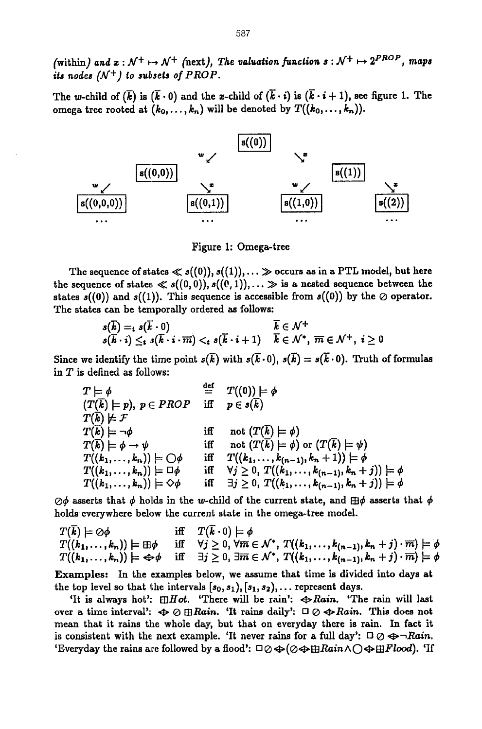(within) and  $x : \mathcal{N}^+ \mapsto \mathcal{N}^+$  (next), The valuation function  $s : \mathcal{N}^+ \mapsto 2^{PROP}$ , maps *its nodes*  $(N^+)$  to subsets of  $PROP$ .

The w-child of  $(\vec{k})$  is  $(\vec{k} \cdot 0)$  and the x-child of  $(\vec{k} \cdot i)$  is  $(\vec{k} \cdot i + 1)$ , see figure 1. The omega tree rooted at  $(k_0, \ldots, k_n)$  will be denoted by  $T((k_0, \ldots, k_n)).$ 



Figure 1: Omega-tree

The sequence of states  $\ll s((0)), s((1)), \ldots \gg$  occurs as in a PTL model, but here the sequence of states  $\ll s((0,0)), s((0,1)), \ldots \gg$  is a nested sequence between the states  $s((0))$  and  $s((1))$ . This sequence is accessible from  $s((0))$  by the  $\oslash$  operator. The states can be temporaily ordered as follows:

$$
s(\overline{k}) =_{i} s(\overline{k} \cdot 0)
$$
  
\n
$$
s(\overline{k} \cdot i) \leq_{i} s(\overline{k} \cdot i \cdot \overline{m}) <_{i} s(\overline{k} \cdot i + 1)
$$
  
\n
$$
\overline{k} \in \mathcal{N}^{+}, \ \overline{m} \in \mathcal{N}^{+}, \ i \geq 0
$$

Since we identify the time point  $s(\overline{k})$  with  $s(\overline{k}\cdot 0)$ ,  $s(\overline{k}) = s(\overline{k}\cdot 0)$ . Truth of formulas in T is defined as follows:

$$
T \models \phi
$$
  
\n
$$
(T(\overline{k}) \models p), p \in PROP
$$
 iff  $p \in s(\overline{k})$   
\n
$$
T(\overline{k}) \not\models \mathcal{F}
$$
  
\n
$$
T(\overline{k}) \models \neg \phi
$$
 iff not  $(T(\overline{k}) \models \phi)$   
\n
$$
T(\overline{k}) \models \phi \rightarrow \psi
$$
 iff not  $(T(\overline{k}) \models \phi)$   
\n
$$
T(\overline{k}) \models \phi \rightarrow \psi
$$
 iff not  $(T(\overline{k}) \models \phi)$  or  $(T(\overline{k}) \models \psi)$   
\n
$$
T((k_1, \ldots, k_n)) \models \bigcirc \phi
$$
 iff  $T((k_1, \ldots, k_{(n-1)}, k_n + 1)) \models \phi$   
\n
$$
T((k_1, \ldots, k_n)) \models \bigcirc \phi
$$
 iff  $\exists j \geq 0$ ,  $T((k_1, \ldots, k_{(n-1)}, k_n + j)) \models \phi$ 

 $\oslash$  asserts that  $\phi$  holds in the w-child of the current state, and  $\boxplus \phi$  asserts that  $\phi$ holds everywhere below the current state in the omega-tree model.

 $T(k) \models \oslash \phi \ T((k_1, \ldots, k_n)) \models \boxplus \phi \ T((k_1, \ldots, k_n)) \models \Leftrightarrow \phi$  $T((k_1,\ldots, k_n))\models \boxplus \phi\quad\;\;\textrm{iff}\;\;\;\;\forall j\geq 0,\, \forall \overline{m}\in\mathcal{N}^*,\; T((k_1,\ldots, k_{(n-1)}, k_n + j)\cdot \overline{m})\models$  $T((k_1,\ldots,k_n)) \models \textcolor{red}{\Leftrightarrow} \phi \quad \text{ iff } \quad \exists j \geq 0, \, \exists \overline{m} \in \mathcal{N}^*, \ T((k_1,\ldots,k_{(n-1)},k_n+j)\cdot \overline{m}) \models$ 

Examples: In the examples below, we assume that time is divided into days at the top level so that the intervals  $[s_0, s_1), [s_1, s_2), \ldots$  represent days.

'It is always hot':  $\oplus Hot$ . 'There will be rain':  $\oplus Rain$ . 'The rain will last over a time interval':  $\bigoplus \bigoplus \text{H}Rain$ . 'It rains daily':  $\Box \oslash \bigoplus \text{R}ain$ . This does not mean that it rains the whole day, but that on everyday there is rain. In fact it is consistent with the next example. 'It never rains for a full day':  $\Box \oslash \bigoplus \neg Rain$ . 'Everyday the rains are followed by a flood':  $\Box \oslash \bigoplus (\oslash \bigoplus \boxplus Rain \wedge \bigcirc \bigoplus \boxplus Flood)$ . 'If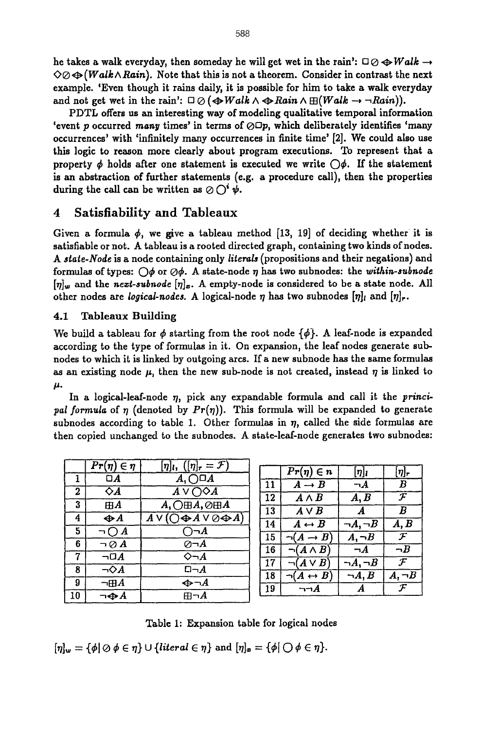he takes a walk everyday, then someday he will get wet in the rain':  $\Box \oslash \bigoplus$  *Walk*  $\rightarrow$  $\Diamond \oslash \Diamond \diamond (Walk \land Rain)$ . Note that this is not a theorem. Consider in contrast the next example. 'Even though it rains daily, it is possible for him to take a walk everyday and not get wet in the rain':  $\square \oslash (\bigoplus \textit{Walk} \wedge \bigoplus \textit{Rain} \wedge \boxplus (\textit{Walk} \rightarrow \neg \textit{Rain}))$ .

PDTL offers us an interesting way of modeling qualitative temporal information 'event p occurred many times' in terms of  $\mathcal{O} \Box p$ , which deliberately identifies 'many occurrences' with 'infinitely many occurrences in finite time' [2]. We could also use this logic to reason more clearly about program executions. To represent that a property  $\phi$  holds after one statement is executed we write  $\bigcap \phi$ . If the statement is an abstraction of further statements (e.g. a procedure call), then the properties during the call can be written as  $\mathcal{O}(\mathbf{v}^i \mathbf{\psi})$ .

# 4 Satisfiability and Tableaux

Given a formula  $\phi$ , we give a tableau method [13, 19] of deciding whether it is satisfiable or not. A tableau is a rooted directed graph, containing two kinds of nodes. *A state-Node* is a node containing only *Hterals* (propositions and their negations) and formulas of types:  $\bigcirc$  *b* or  $\emptyset$ *b*. A state-node  $\eta$  has two subnodes: the *within-subnode*  $[\eta]_{\omega}$  and the *next-subnode*  $[\eta]_{\alpha}$ . A empty-node is considered to be a state node. All other nodes are *logical-nodes*. A logical-node  $\eta$  has two subnodes  $[\eta]_l$  and  $[\eta]_r$ .

# **4.1** Tableaux Building

We build a tableau for  $\phi$  starting from the root node  $\{\phi\}$ . A leaf-node is expanded according to the type of formulas in it. On expansion, the leaf nodes generate subnodes to which it is linked by outgoing arcs. If a new subnode has the same formulas as an existing node  $\mu$ , then the new sub-node is not created, instead  $\eta$  is linked to #.

In a logical-leaf-node r/, pick any expandable formula and call it the *principal formula* of  $\eta$  (denoted by  $Pr(\eta)$ ). This formula will be expanded to generate subnodes according to table 1. Other formulas in  $\eta$ , called the side formulas are then copied unchanged to the subnodes. A state-leaf-node generates two subnodes:

|              | $Pr(\eta) \in \eta$ | $[\eta]_l, ([\eta]_r = \mathcal{F})$                    |    | $Pr(\eta) \in n$            | $[\eta]_l$                      | $\lfloor \eta \rfloor_r$ |
|--------------|---------------------|---------------------------------------------------------|----|-----------------------------|---------------------------------|--------------------------|
|              | $\Box A$            | $A, \bigcirc \Box A$                                    | 11 | $A \rightarrow B$           |                                 | B                        |
| $\mathbf{2}$ | $\diamond A$        | $A \vee \bigcirc \Diamond A$                            |    |                             | $\neg A$                        | ${\cal F}$               |
| 3            | ⊞A                  | $A, \bigcirc \boxplus A, \oslash \boxplus A$            | 12 | $A \wedge B$                | $\boldsymbol{A},\boldsymbol{B}$ |                          |
| 4            | $\bigoplus A$       | $A \vee (\bigcirc \bigcirc A \vee \bigcirc \bigcirc A)$ | 13 | $A \vee B$                  | А                               | B                        |
| 5            | $\neg$ $\bigcirc$ A | ( )¬A                                                   | 14 | $A \leftrightarrow B$       | $\neg A, \neg B$                | A, B                     |
| 6            | $\neg \oslash A$    | ⊘¬А                                                     | 15 | $A \rightarrow B$           | $A, \neg B$                     | $\bm{\mathcal{F}}$       |
| 7            |                     |                                                         | 16 | $\neg(A \land B)$           | $\neg A$                        | $\neg B$                 |
|              | $\neg\Box A$        | $\Diamond \neg A$                                       | 17 | $A \vee B$                  | $\neg A, \neg B$                | $\cal F$                 |
| 8            | $\neg \Diamond A$   | $\square \neg A$                                        | 18 | $\neg(A \leftrightarrow B)$ | $\neg A,B$                      | $A, \neg B$              |
| 9            | ¬⊞А                 | ⊕¬А                                                     | 19 | $\neg\neg A$                | А                               | F                        |
| 10           | ¬⊕⊿                 | $\boxplus \neg A$                                       |    |                             |                                 |                          |

Table 1: Expansion table for logical nodes

 $[\eta]_w = {\phi \mid \emptyset \phi \in \eta} \cup {literal \in \eta} \text{ and } [\eta]_x = {\phi \mid \bigcirc \phi \in \eta}.$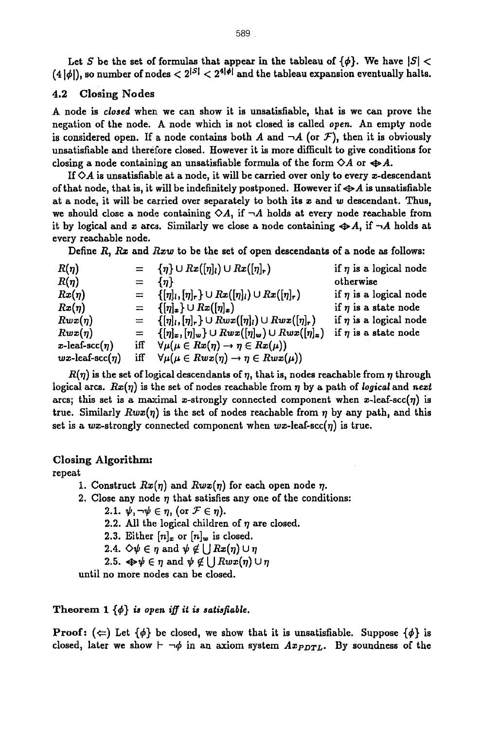Let S be the set of formulas that appear in the tableau of  $\{\phi\}$ . We have  $|S|$  $(4 |\phi|)$ , so number of nodes  $\langle 2^{|S|} \rangle \langle 2^{4|\phi|}$  and the tableau expansion eventually halts.

#### 4.2 Closing Nodes

A node is *closed* when we can show it is unsatisfiable, that is we can prove the negation of the node. A node which is not closed is called *open.* An empty node is considered open. If a node contains both A and  $\neg A$  (or F), then it is obviously unsatisfiable and therefore closed. However it is more difficult to give conditions for closing a node containing an unsatisfiable formula of the form  $\Diamond A$  or  $\bigoplus A$ .

If  $\Diamond A$  is unsatisfiable at a node, it will be carried over only to every x-descendant of that node, that is, it will be indefinitely postponed. However if  $\bigoplus A$  is unsatisfiable at a node, it will be carried over separately to both its  $x$  and  $w$  descendant. Thus, we should close a node containing  $\Diamond A$ , if  $\neg A$  holds at every node reachable from it by logical and x arcs. Similarly we close a node containing  $\bigoplus A$ , if  $\neg A$  holds at every reachable node.

Define  $R$ ,  $Rx$  and  $Rxw$  to be the set of open descendants of a node as follows:

| $R(\eta)$               |     | = $\{\eta\} \cup Rx([\eta]_l) \cup Rx([\eta]_r)$                 | if $\eta$ is a logical node |
|-------------------------|-----|------------------------------------------------------------------|-----------------------------|
| $R(\eta)$               | $=$ | $\{n\}$                                                          | otherwise                   |
| $Rx(\eta)$              | $=$ | $\{[\eta]_l, [\eta]_r\} \cup Rx([\eta]_l) \cup Rx([\eta]_r)$     | if $\eta$ is a logical node |
| $Rx(\eta)$              |     | = $\{[\eta]_x\} \cup Rx([\eta]_x)$                               | if $\eta$ is a state node   |
| $Rwx(\eta)$             |     | = $\{[\eta]_l, [\eta]_r\} \cup Rwx([\eta]_l) \cup Rwx([\eta]_r)$ | if $\eta$ is a logical node |
| $Rwx(\eta)$             | $=$ | $\{[\eta]_x,[\eta]_w\}\cup Rwx([\eta]_w)\cup Rwx([\eta]_x)$      | if $\eta$ is a state node   |
| x-leaf-scc $(\eta)$     | iff | $\forall \mu (\mu \in Rx(\eta) \rightarrow \eta \in Rx(\mu))$    |                             |
| $wx$ -leaf-scc $(\eta)$ | iff | $\forall \mu (\mu \in Rwx(\eta) \rightarrow \eta \in Rwx(\mu))$  |                             |

 $R(\eta)$  is the set of logical descendants of  $\eta$ , that is, nodes reachable from  $\eta$  through logical arcs.  $Rx(\eta)$  is the set of nodes reachable from  $\eta$  by a path of *logical* and *next* arcs; this set is a maximal x-strongly connected component when x-leaf-scc( $\eta$ ) is true. Similarly  $Rwx(\eta)$  is the set of nodes reachable from  $\eta$  by any path, and this set is a wx-strongly connected component when  $wx$ -leaf-scc $(\eta)$  is true.

#### Closing Algorithm:

repeat

- 1. Construct  $Rx(\eta)$  and  $Rwx(\eta)$  for each open node  $\eta$ .
- 2. Close any node  $\eta$  that satisfies any one of the conditions:
	- 2.1.  $\psi$ ,  $\neg \psi \in \eta$ , (or  $\mathcal{F} \in \eta$ ).
	- 2.2. All the logical children of  $\eta$  are closed.
	- 2.3. Either  $[n]_x$  or  $[n]_w$  is closed.
	- 2.4.  $\Diamond \psi \in \eta$  and  $\psi \notin \bigcup Rx(\eta) \cup \eta$
	- 2.5.  $\Leftrightarrow \psi \in \eta$  and  $\psi \notin \bigcup Rwx(\eta) \cup \eta$

until no more nodes can bc closed.

Theorem  $1 \{\phi\}$  is open iff it is satisfiable.

**Proof:**  $(\Leftarrow)$  Let  $\{\phi\}$  be closed, we show that it is unsatisfiable. Suppose  $\{\phi\}$  is closed, later we show  $\vdash \neg \phi$  in an axiom system  $A x_{PDTL}$ . By soundness of the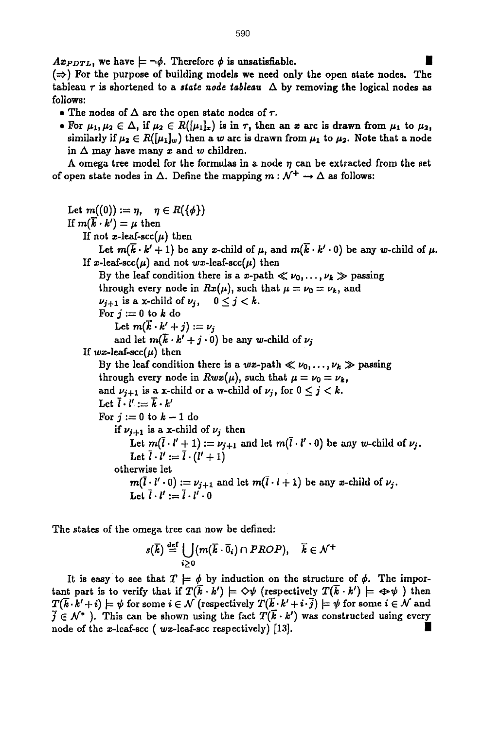$A \mathbf{x}_{PDTL}$ , we have  $\models \neg \phi$ . Therefore  $\phi$  is unsatisfiable.

 $(\Rightarrow)$  For the purpose of building models we need only the open state nodes. The tableau  $\tau$  is shortened to a *state node tableau*  $\Delta$  by removing the logical nodes as follows:

- The nodes of  $\Delta$  are the open state nodes of  $\tau$ .
- For  $\mu_1, \mu_2 \in \Delta$ , if  $\mu_2 \in R([\mu_1]_{\pi})$  is in  $\tau$ , then an x arc is drawn from  $\mu_1$  to  $\mu_2$ , similarly if  $\mu_2 \in R([\mu_1]_w)$  then a w arc is drawn from  $\mu_1$  to  $\mu_2$ . Note that a node in  $\Delta$  may have many x and w children.

A omega tree model for the formulas in a node  $\eta$  can be extracted from the set of open state nodes in  $\Delta$ . Define the mapping  $m : \mathcal{N}^+ \to \Delta$  as follows:

Let  $m((0)) := \eta$ ,  $\eta \in R({\{\phi\}})$ If  $m(\vec{k} \cdot k') = \mu$  then If not *x*-leaf-scc $(\mu)$  then Let  $m(\vec{k} \cdot k' + 1)$  be any x-child of  $\mu$ , and  $m(\vec{k} \cdot k' \cdot 0)$  be any w-child of  $\mu$ . If x-leaf-scc( $\mu$ ) and not wx-leaf-scc( $\mu$ ) then By the leaf condition there is a *x*-path  $\ll \nu_0, \ldots, \nu_k \gg$  passing through every node in  $Rx(\mu)$ , such that  $\mu = \nu_0 = \nu_k$ , and  $\nu_{i+1}$  is a x-child of  $\nu_i$ ,  $0 \leq j < k$ . For  $j := 0$  to k do Let  $m(\bar{k} \cdot k' + j) := \nu_j$ and let  $m(\bar{k} \cdot k' + j \cdot 0)$  be any w-child of  $\nu_i$ If wx-leaf-scc $(\mu)$  then By the leaf condition there is a wz-path  $\ll \nu_0, \ldots, \nu_k \gg$  passing through every node in  $Rwx(\mu)$ , such that  $\mu = \nu_0 = \nu_k$ , and  $\nu_{j+1}$  is a x-child or a w-child of  $\nu_j$ , for  $0 \leq j \leq k$ . Let  $\bar{l} \cdot l' := \bar{k} \cdot k'$ For  $i := 0$  to  $k-1$  do if  $\nu_{i+1}$  is a x-child of  $\nu_i$ , then Let  $m(\overline{l} \cdot l' + 1) := \nu_{i+1}$  and let  $m(\overline{l} \cdot l' \cdot 0)$  be any w-child of  $\nu_i$ . Let  $\overline{l} \cdot l' := \overline{l} \cdot (l' + 1)$ otherwise let  $m(\bar{l} \cdot l' \cdot 0) := \nu_{j+1}$  and let  $m(\bar{l} \cdot l + 1)$  be any *z*-child of  $\nu_j$ . Let  $\overline{l} \cdot l' := \overline{l} \cdot l' \cdot 0$ 

The states of the omega tree can now be defined:

$$
s(\overline{k}) \stackrel{\text{def}}{=} \bigcup_{i \geq 0} (m(\overline{k} \cdot \overline{0}_i) \cap PROP), \quad \overline{k} \in \mathcal{N}^+
$$

It is easy to see that  $T \models \phi$  by induction on the structure of  $\phi$ . The important part is to verify that if  $T(\bar{k} \cdot k') = \Diamond \psi$  (respectively  $T(\bar{k} \cdot k') = \bigcirc \psi$ ) then  $T(\vec{k}\cdot k'+i) \models \psi$  for some  $i \in \mathcal{N}$  (respectively  $T(\vec{k}\cdot k'+i\cdot \vec{j}) \models \psi$  for some  $i \in \mathcal{N}$  and  $\overline{j} \in \mathcal{N}^*$  ). This can be shown using the fact  $T(\overline{k} \cdot \overline{k}')$  was constructed using every node of the *x*-leaf-scc (  $wx$ -leaf-scc respectively) [13].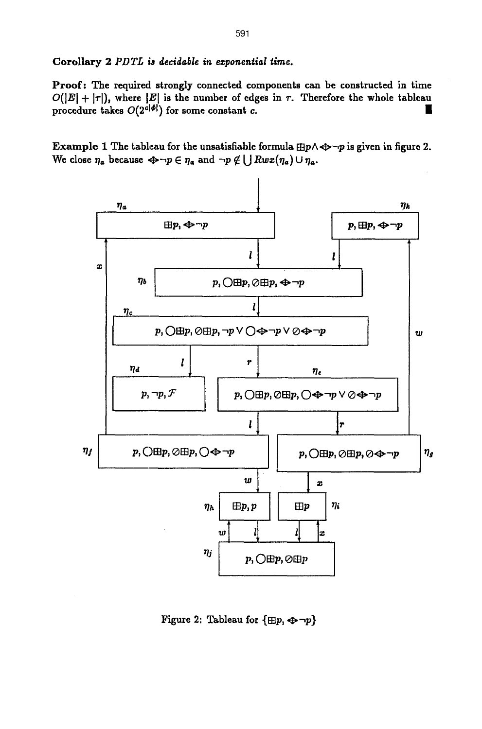Corollary 2 *PDTL* is decidable in exponential time.

Proof: The required strongly connected components can be constructed in time  $O(|E| + |\tau|)$ , where  $|E|$  is the number of edges in  $\tau$ . Therefore the whole tableau procedure takes  $O(2^{c|\phi|})$  for some constant c.

Example 1 The tableau for the unsatisfiable formula  $\boxplus p \wedge \Leftrightarrow \neg p$  is given in figure 2. We close  $\eta_a$  because  $\Leftrightarrow \neg p \in \eta_a$  and  $\neg p \notin \bigcup Rwx(\eta_a) \cup \eta_a$ .



Figure 2: Tableau for  ${ \oplus p, \Leftrightarrow \neg p }$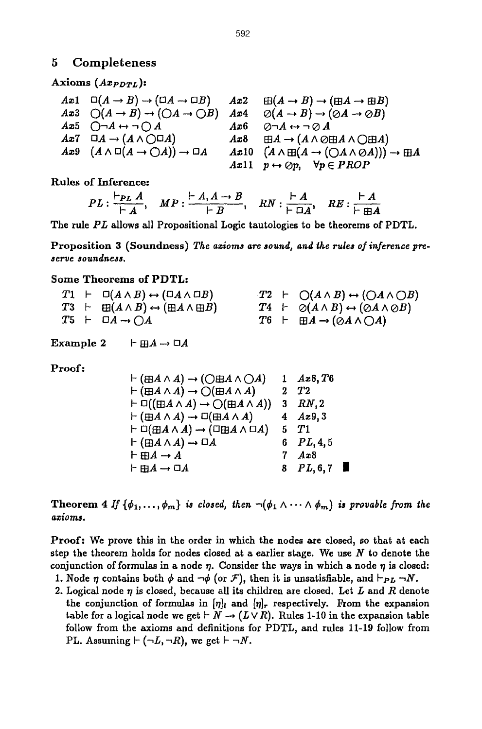#### **5** Completeness

#### Axioms  $(Az_{PDTL})$ :

| $Ax1$  | $\Box(A \rightarrow B) \rightarrow (\Box A \rightarrow \Box B)$             | $Ax2$                | $\boxplus(A \rightarrow B) \rightarrow (\boxplus A \rightarrow \boxplus B)$               |
|--------|-----------------------------------------------------------------------------|----------------------|-------------------------------------------------------------------------------------------|
| $Ax3$  | $\bigcirc(A \rightarrow B) \rightarrow (\bigcirc A \rightarrow \bigcirc B)$ | $Ax4$                | $\emptyset(A \rightarrow B) \rightarrow (\emptyset A \rightarrow \bigcirc B)$             |
| $Ax5$  | $\bigcirc \neg A \leftrightarrow \neg \bigcirc A$                           | $Ax6$                | $\emptyset \neg A \leftrightarrow \neg \bigcirc A$                                        |
| $Ax7$  | $\Box A \rightarrow (A \land \bigcirc \Box A)$                              | $Ax8$                | $\boxplus A \rightarrow (A \land \bigcirc \boxplus A \land \bigcirc \boxplus A)$          |
| $Ax9$  | $(A \land \Box(A \rightarrow \bigcirc A)) \rightarrow \Box A$               | $Ax10$               | $(A \land \boxplus (A \rightarrow (\bigcirc A \land \bigcirc A))) \rightarrow \boxplus A$ |
| $Ax11$ | $p \leftrightarrow \bigcirc p$                                              | $\forall p \in PROP$ |                                                                                           |

Rules of Inference:

$$
PL: \frac{\vdash_{PL} A}{\vdash A}, \quad MP: \frac{\vdash A, A \rightarrow B}{\vdash B}, \quad RN: \frac{\vdash A}{\vdash \Box A}, \quad RE: \frac{\vdash A}{\vdash \boxplus A}
$$

The rule *PL* allows all Propositional Logic tautologies to be theorems of PDTL.

Proposition 3 (Soundness) The azioms are sound, and the rules of inference pre*serve soundness.* 

#### Some Theorems of PDTL:

|  | $T1 \vdash \Box(A \land B) \leftrightarrow (\Box A \land \Box B)$              |  | $T2 \vdash \bigcirc (A \land B) \leftrightarrow (\bigcirc A \land \bigcirc B)$ |
|--|--------------------------------------------------------------------------------|--|--------------------------------------------------------------------------------|
|  | $T3 \vdash \boxplus (A \land B) \leftrightarrow (\boxplus A \land \boxplus B)$ |  | $T4 \vdash \oslash (A \wedge B) \leftrightarrow (\oslash A \wedge \oslash B)$  |
|  | $T5 \vdash \Box A \rightarrow \bigcirc A$                                      |  | $T6 \vdash \boxplus A \rightarrow (\oslash A \wedge \bigcirc A)$               |

Example 2  $\vdash \boxplus A \rightarrow \Box A$ 

Proof:

| $\vdash (\boxplus A \land A) \rightarrow (\bigcirc \boxplus A \land \bigcirc A)$ |   | $1 \quad Ax8, T6$ |   |
|----------------------------------------------------------------------------------|---|-------------------|---|
| $\vdash (\boxplus A \land A) \rightarrow \bigcirc (\boxplus A \land A)$          |   | 2T2               |   |
| $\vdash \Box((\boxplus A \land A) \rightarrow \bigcirc(\boxplus A \land A))$     |   | 3 RN, 2           |   |
| $\vdash (\boxplus A \land A) \rightarrow \Box (\boxplus A \land A)$              |   | $4 \quad Ax9,3$   |   |
| $\vdash \Box(\boxplus A \land A) \rightarrow (\Box \boxplus A \land \Box A)$     |   | 5 T 1             |   |
| $\vdash (\boxplus A \land A) \rightarrow \Box A$                                 |   | 6 $PL, 4, 5$      |   |
| $\vdash \boxplus A \rightarrow A$                                                | 7 | Ax8               |   |
| $\vdash \boxplus A \to \Box A$                                                   |   | $8$ $PL, 6, 7$    | Ð |

Theorem 4 *If*  $\{\phi_1, \ldots, \phi_m\}$  is closed, then  $\neg(\phi_1 \land \cdots \land \phi_m)$  is provable from the *azioma.* 

Proof: We prove this in the order in which the nodes are closed, so that at each step the theorem holds for nodes closed at a earlier stage. We use  $N$  to denote the conjunction of formulas in a node  $\eta$ . Consider the ways in which a node  $\eta$  is closed: 1. Node  $\eta$  contains both  $\phi$  and  $\neg \phi$  (or  $\mathcal{F}$ ), then it is unsatisfiable, and  $\vdash_{PL} \neg N$ .

2. Logical node  $\eta$  is closed, because all its children are closed. Let  $L$  and  $R$  denote the conjunction of formulas in  $[\eta]_l$  and  $[\eta]_r$  respectively. From the expansion table for a logical node we get  $\vdash N \rightarrow (L \lor R)$ . Rules 1-10 in the expansion table follow from the axioms and definitions for PDTL, and rules 11-19 follow from PL. Assuming  $\vdash (\neg L, \neg R)$ , we get  $\vdash \neg N$ .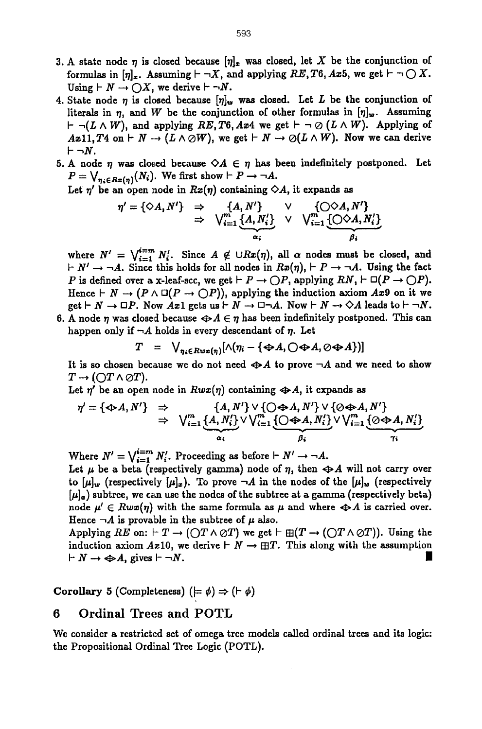- 3. A state node  $\eta$  is closed because  $[\eta]_x$  was closed, let X be the conjunction of formulas in  $[\eta]_x$ . Assuming  $\vdash \neg X$ , and applying *RE*, *T*6, *Ax5*, we get  $\vdash \neg \bigcirc X$ . Using  $\vdash N \rightarrow \bigcirc X$ , we derive  $\vdash \neg N$ .
- 4. State node  $\eta$  is closed because  $[\eta]_w$  was closed. Let L be the conjunction of literals in  $\eta$ , and W be the conjunction of other formulas in  $[\eta]_w$ . Assuming  $\vdash \neg(L \land W)$ , and applying RE, T6, Ax4 we get  $\vdash \neg \oslash (L \land W)$ . Applying of  $Ax11, T4$  on  $\vdash N \rightarrow (L \land \oslash W)$ , we get  $\vdash N \rightarrow \oslash (L \land W)$ . Now we can derive  $\vdash \neg N.$
- 5. A node  $\eta$  was closed because  $\Diamond A \in \eta$  has been indefinitely postponed. Let  $P = \bigvee_{n_i \in R_{\mathcal{Z}}(n)} (N_i)$ . We first show  $\vdash P \rightarrow \neg A$ .

Let  $\eta'$  be an open node in  $Rx(\eta)$  containing  $\diamond A$ , it expands as

$$
\eta' = \{ \diamond A, N' \} \Rightarrow \{ A, N' \} \vee \{ \bigcirc \diamond A, N' \} \n\Rightarrow \vee \prod_{i=1}^{m} \underbrace{\{ A, N' \}}_{\alpha_i} \vee \vee \vee \prod_{i=1}^{m} \underbrace{\{ \bigcirc \diamond A, N' \}}_{\beta_i}
$$

where  $N' = \bigvee_{i=1}^{i=m} N'_i$ . Since  $A \notin \bigcup Rx(\eta)$ , all  $\alpha$  nodes must be closed, and  $\vdash N' \rightarrow \neg A$ . Since this holds for all nodes in  $Rx(\eta), \vdash P \rightarrow \neg A$ . Using the fact P is defined over a x-leaf-scc, we get  $\vdash P \to \bigcirc P$ , applying  $RN, \vdash \Box (P \to \bigcirc P)$ . Hence  $\vdash N \to (P \land \Box(P \to \bigcirc P))$ , applying the induction axiom Az9 on it we get  $\vdash N \rightarrow \Box P$ . Now Az1 gets us  $\vdash N \rightarrow \Box \neg A$ . Now  $\vdash N \rightarrow \Diamond A$  leads to  $\vdash \neg N$ . 6. A node *n* was closed because  $\bigoplus A \in \eta$  has been indefinitely postponed. This can

happen only if  $\neg A$  holds in every descendant of  $\eta$ . Let

$$
T = \bigvee_{\eta_i \in Rwx(\eta)} [\wedge (\eta_i - {\{\oplus A, \bigcirc \oplus A, \otimes \oplus A\}})]
$$

It is so chosen because we do not need  $\bigoplus A$  to prove  $\neg A$  and we need to show  $T \rightarrow (\bigcirc T \wedge \oslash T).$ 

Let  $\eta'$  be an open node in  $Rwx(\eta)$  containing  $\bigoplus A$ , it expands as

$$
\eta' = \{\oplus A, N'\} \Rightarrow \{A, N'\} \vee \{\bigcirc \oplus A, N'\} \vee \{\otimes \oplus A, N'\} \Rightarrow \bigvee_{i=1}^{m} \{\underbrace{A, N'_{i}}_{\alpha_{i}}\} \vee \bigvee_{i=1}^{m} \{\underbrace{\bigcirc \oplus A, N'_{i}}_{\beta_{i}}\} \vee \bigvee_{i=1}^{m} \{\underbrace{\emptycirc \oplus A, N'_{i}}_{\gamma_{i}}\}
$$

Where  $N' = \bigvee_{i=1}^{i=m} N'_i$ . Proceeding as before  $\vdash N' \to \neg A$ .

Let  $\mu$  be a beta (respectively gamma) node of  $\eta$ , then  $\bigoplus A$  will not carry over to  $[\mu]_w$  (respectively  $[\mu]_x$ ). To prove  $\neg A$  in the nodes of the  $[\mu]_w$  (respectively  $[\mu]_x$ ) subtree, we can use the nodes of the subtree at a gamma (respectively beta) node  $\mu' \in Rwx(\eta)$  with the same formula as  $\mu$  and where  $\bigoplus A$  is carried over. Hence  $\neg A$  is provable in the subtree of  $\mu$  also.

Applying  $RE$  on:  $\vdash T \rightarrow (\bigcirc T \land \oslash T)$  we get  $\vdash \boxplus (T \rightarrow (\bigcirc T \land \oslash T))$ . Using the induction axiom Ax10, we derive  $\vdash N \rightarrow \boxplus T$ . This along with the assumption  $\vdash N \rightarrow \bigoplus A$ , gives  $\vdash \neg N$ .

Corollary 5 (Completeness)  $(= \phi) \Rightarrow ( \vdash \phi)$ 

# 6 Ordinal Trees and POTL

We consider a restricted set of omega tree models called ordinal trees and its logic: the Propositional Ordinal Tree Logic (POTL).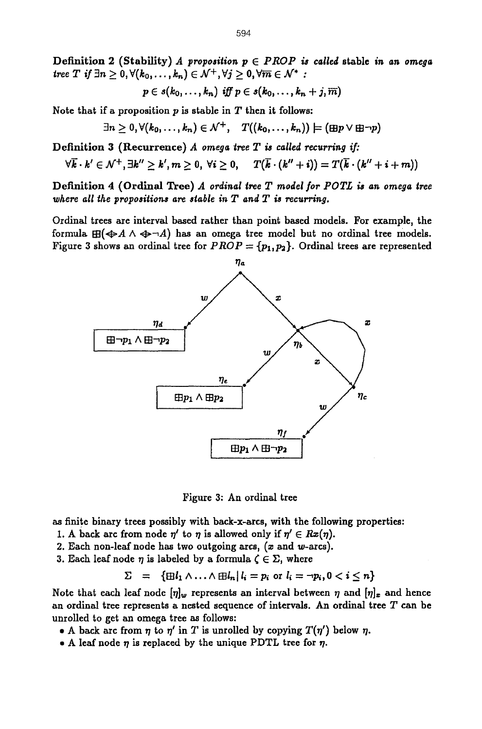Definition 2 (Stability) *A proposition*  $p \in PROP$  *is called stable in an omega tree T if*  $\exists n \geq 0, \forall (k_0, \ldots, k_n) \in \mathcal{N}^+, \forall j \geq 0, \forall \overline{m} \in \mathcal{N}^*$ :

 $p\in s(k_0,\ldots,k_n)$  iff  $p\in s(k_0,\ldots,k_n+j,m)$ 

Note that if a proposition  $p$  is stable in  $T$  then it follows:

$$
\exists n \geq 0, \forall (k_0, \ldots, k_n) \in \mathcal{N}^+, \quad T((k_0, \ldots, k_n)) \models (\boxplus p \lor \boxplus \neg p)
$$

Definition 3 (Recurrence) *A omega tree T is called recurring if:* 

 $\forall \vec{k} \cdot k' \in \mathcal{N}^+, \exists k'' > k', m > 0, \forall i > 0, T(\vec{k} \cdot (k'' + i)) = T(\vec{k} \cdot (k'' + i + m))$ 

Definition 4 (Ordinal *Tree) A ordinal tree T model for POTL is an omega tree where all the propositions are stable in T and T is recurring.* 

Ordinal trees are interval based rather than point based models. For example, the formula  $\boxplus (\Leftrightarrow A \wedge \Leftrightarrow \neg A)$  has an omega tree model but no ordinal tree models. Figure 3 shows an ordinal tree for  $PROP = \{p_1, p_2\}$ . Ordinal trees are represented



Figure 3: An ordinal tree

as finite binary trees possibly with back-x-arcs, with the following properties:

- 1. A back arc from node  $\eta'$  to  $\eta$  is allowed only if  $\eta' \in Rx(\eta)$ .
- 2. Each non-leaf node has two outgoing arcs,  $(x \text{ and } w\text{-}arcs)$ .
- 3. Each leaf node  $\eta$  is labeled by a formula  $\zeta \in \Sigma$ , where

$$
\Sigma = \{ \boxplus l_1 \wedge \ldots \wedge \boxplus l_n | l_i = p_i \text{ or } l_i = \neg p_i, 0 < i \leq n \}
$$

Note that each leaf node  $[\eta]_w$  represents an interval between  $\eta$  and  $[\eta]_x$  and hence an ordinal tree represents a nested sequence of intervals. An ordinal tree  $T$  can be unrolled to get an omega tree as follows:

- A back arc from  $\eta$  to  $\eta'$  in T is unrolled by copying  $T(\eta')$  below  $\eta$ .
- A leaf node  $\eta$  is replaced by the unique PDTL tree for  $\eta$ .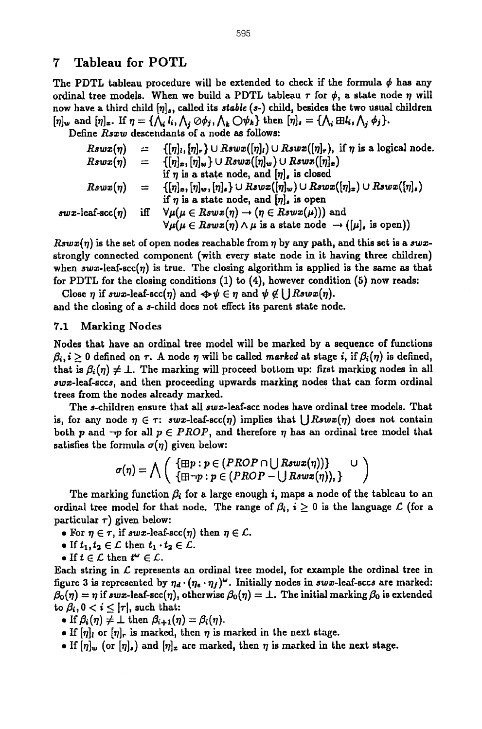# 7 Tableau for POTL

The PDTL tableau procedure will be extended to check if the formula  $\phi$  has any ordinal tree models. When we build a PDTL tableau  $\tau$  for  $\phi$ , a state node  $\eta$  will now have a third child  $[\eta]_s$ , called its stable (s-) child, besides the two usual children  $[\eta]_{\omega}$  and  $[\eta]_{x}$ . If  $\eta = {\{\bigwedge_i l_i, \bigwedge_i \oslash \phi_j, \bigwedge_k \bigcup \psi_k\}}$  then  $[\eta]_x = {\{\bigwedge_i \boxplus l_i, \bigwedge_i \phi_j\}}$ .

Define Rszw descendants of a node as follows:

| $Rswx(\eta)$                                                                                        | =  | $\{[\eta]_l, [\eta]_r\} \cup Rswx([\eta]_l) \cup Rswx([\eta]_r), \text{ if } \eta \text{ is a logical node.}$ |
|-----------------------------------------------------------------------------------------------------|----|---------------------------------------------------------------------------------------------------------------|
| $Rswx(\eta)$                                                                                        | =  | $\{[\eta]_x, [\eta]_w\} \cup Rswx([\eta]_w) \cup Rswx([\eta]_x)$                                              |
| if $\eta$ is a state node, and $[\eta]_s$ is closed                                                 |    |                                                                                                               |
| $Rswx(\eta)$                                                                                        | =  | $\{[\eta]_x, [\eta]_w, [\eta]_s\} \cup Rswx([\eta]_w) \cup Rswx([\eta]_x) \cup Rswx([\eta]_s)$                |
| if $\eta$ is a state node, and $[\eta]_s$ is open                                                   |    |                                                                                                               |
| $swx$ -leaf-scc( $\eta$ )                                                                           | if | $\forall \mu(\mu \in Rswx(\eta) \rightarrow (\eta \in Rswx(\mu)))$ and                                        |
| $\forall \mu(\mu \in Rswx(\eta) \land \mu)$ is a state node $\rightarrow ([\mu]_s \text{ is open})$ |    |                                                                                                               |

 $Rswx(\eta)$  is the set of open nodes reachable from  $\eta$  by any path, and this set is a swzstrongly connected component (with every state node in it having three children) when swz-leaf-scc $(\eta)$  is true. The closing algorithm is applied is the same as that for PDTL for the closing conditions  $(1)$  to  $(4)$ , however condition  $(5)$  now reads:

Close  $\eta$  if swx-leaf-scc( $\eta$ ) and  $\Leftrightarrow \psi \in \eta$  and  $\psi \notin \cup Rswx(\eta)$ . and the closing of a s-child does not effect its parent state node.

#### 7.1 Marking Nodes

Nodes that have an ordinal tree model will be marked by a sequence of functions  $\beta_i, i \geq 0$  defined on r. A node  $\eta$  will be called *marked* at stage *i*, if  $\beta_i(\eta)$  is defined, that is  $\beta_i(\eta) \neq \bot$ . The marking will proceed bottom up: first marking nodes in all swz-leaf-sccs, and then proceeding upwards marking nodes that can form ordinal trees from the nodes already marked.

The s-children ensure that all swx-leaf-scc nodes have ordinal tree models. That is, for any node  $\eta \in \tau$ : swz-leaf-scc( $\eta$ ) implies that  $\iota$  *Rswz*( $\eta$ ) does not contain both p and  $\neg p$  for all  $p \in PROP$ , and therefore  $\eta$  has an ordinal tree model that satisfies the formula  $\sigma(\eta)$  given below:

$$
\sigma(\eta) = \bigwedge \left( \begin{array}{cc} {\{\boxplus p : p \in (PROP \cap \bigcup Rswx(\eta)\})} & \cup \\ {\{\boxplus \neg p : p \in (PROP - \bigcup Rswx(\eta)\})} \end{array} \right)
$$

The marking function  $\beta_i$  for a large enough i, maps a node of the tableau to an ordinal tree model for that node. The range of  $\beta_i$ ,  $i \geq 0$  is the language  $\mathcal{L}$  (for a particular  $\tau$ ) given below:

- For  $\eta \in \tau$ , if swz-leaf-scc( $\eta$ ) then  $\eta \in \mathcal{L}$ .
- If  $t_1, t_2 \in \mathcal{L}$  then  $t_1 \cdot t_2 \in \mathcal{L}$ .
- If  $t \in \mathcal{L}$  then  $t^{\omega} \in \mathcal{L}$ .

Each string in  $\mathcal L$  represents an ordinal tree model, for example the ordinal tree in figure 3 is represented by  $\eta_d \cdot (\eta_e \cdot \eta_f)^{\omega}$ . Initially nodes in swx-leaf-sccs are marked:  $\beta_0(\eta) = \eta$  if swx-leaf-scc( $\eta$ ), otherwise  $\beta_0(\eta) = \bot$ . The initial marking  $\beta_0$  is extended to  $\beta_i, 0 < i \leq |\tau|$ , such that:

- If  $\beta_i(\eta) \neq \perp$  then  $\beta_{i+1}(\eta) = \beta_i(\eta)$ .
- If  $[\eta]_i$  or  $[\eta]_r$  is marked, then  $\eta$  is marked in the next stage.
- If  $[\eta]_w$  (or  $[\eta]_s$ ) and  $[\eta]_x$  are marked, then  $\eta$  is marked in the next stage.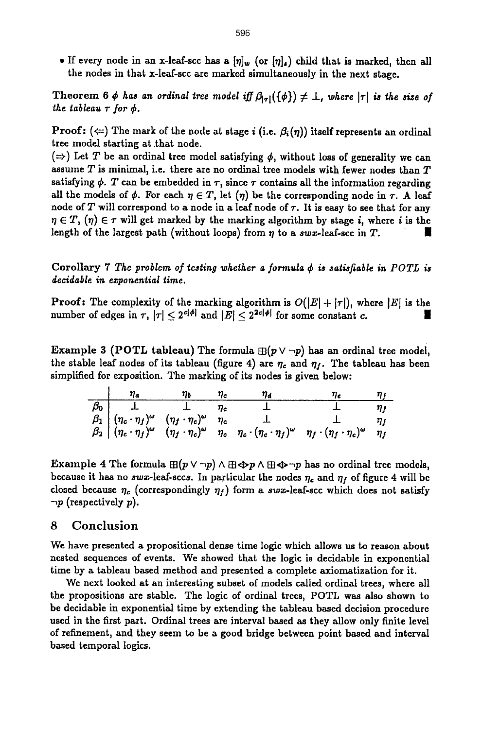• If every node in an x-leaf-scc has a  $[\eta]_w$  (or  $[\eta]_s$ ) child that is marked, then all the nodes in that x-leaf-see are marked simultaneously in the next stage.

Theorem 6  $\phi$  *has an ordinal tree model iff*  $\beta_{|\tau|}(\{\phi\}) \neq \bot$ , where  $|\tau|$  is the size of *the tableau*  $\tau$  *for*  $\phi$ *.* 

**Proof:** ( $\Leftarrow$ ) The mark of the node at stage *i* (i.e.  $\beta_i(\eta)$ ) itself represents an ordinal tree model starting at .that node.

 $(\Rightarrow)$  Let T be an ordinal tree model satisfying  $\phi$ , without loss of generality we can assume  $T$  is minimal, i.e. there are no ordinal tree models with fewer nodes than  $T$ satisfying  $\phi$ . T can be embedded in r, since r contains all the information regarding all the models of  $\phi$ . For each  $\eta \in T$ , let  $(\eta)$  be the corresponding node in  $\tau$ . A leaf node of T will correspond to a node in a leaf node of  $\tau$ . It is easy to see that for any  $\eta \in T$ ,  $(\eta) \in \tau$  will get marked by the marking algorithm by stage *i*, where *i* is the length of the largest path (without loops) from  $\eta$  to a swz-leaf-scc in T.

Corollary 7 *The problem of testing whether a formula qb is satisfiable in POTL is decidable in ezponential time.* 

**Proof:** The complexity of the marking algorithm is  $O(|E| + |\tau|)$ , where  $|E|$  is the number of edges in  $\tau$ ,  $|\tau| < 2^{c|\phi|}$  and  $|E| < 2^{2c|\phi|}$  for some constant c.

**Example 3 (POTL tableau)** The formula  $\boxplus (p \vee \neg p)$  has an ordinal tree model, the stable leaf nodes of its tableau (figure 4) are  $\eta_c$  and  $\eta_f$ . The tableau has been simplified for exposition. The marking of its nodes is given below:

|  |  | $\begin{array}{c ccccccccc}\beta_0 & \bot & \bot & \eta_c & \bot & \bot & \eta_f \\ \beta_1 & (\eta_c \cdot \eta_f)^\omega & (\eta_f \cdot \eta_c)^\omega & \eta_c & \bot & \bot & \eta_f \\ \beta_2 & (\eta_c \cdot \eta_f)^\omega & (\eta_f \cdot \eta_c)^\omega & \eta_c & \eta_c \cdot (\eta_c \cdot \eta_f)^\omega & \eta_f \cdot (\eta_f \cdot \eta_c)^\omega & \eta_f\end{array}$ |  |
|--|--|------------------------------------------------------------------------------------------------------------------------------------------------------------------------------------------------------------------------------------------------------------------------------------------------------------------------------------------------------------------------------------------|--|

Example 4 The formula  $\boxplus (p \vee \neg p) \wedge \boxplus \Leftrightarrow p \wedge \boxplus \Leftrightarrow \neg p$  has no ordinal tree models, because it has no swx-leaf-sccs. In particular the nodes  $\eta_c$  and  $\eta_f$  of figure 4 will be closed because  $\eta_c$  (correspondingly  $\eta_f$ ) form a swz-leaf-scc which does not satisfy  $\neg p$  (respectively p).

# 8 Conclusion

We have presented a propositional dense time logic which allows us to reason about nested sequences of events. We showed that the logic is decidable in exponential time by a tableau based method and presented a complete axiomatization for it.

We next looked at an interesting subset of models called ordinal trees, where all the propositions are stable. The logic of ordinal trees, POTL was also shown to be decidable in exponential time by extending the tableau based decision procedure used in the first part. Ordinal trees are interval based as they allow only finite level of refinement, and they seem to be a good bridge between point based and interval based temporal logics.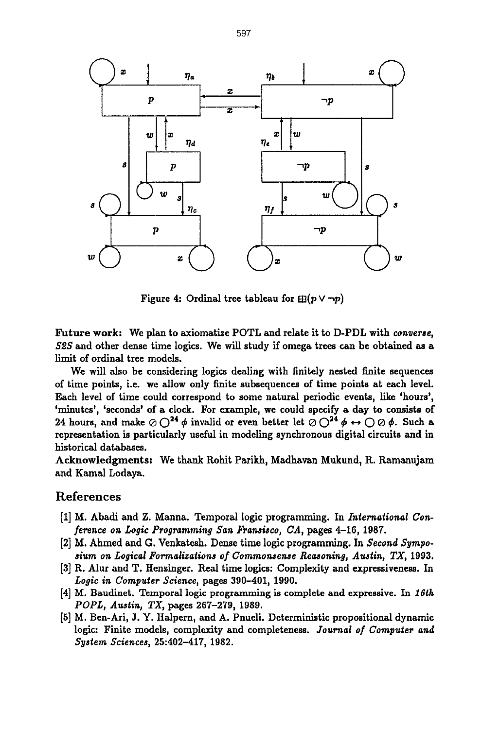

Figure 4: Ordinal tree tableau for  $\boxplus (p \vee \neg p)$ 

Future work: We plan to axiomatize POTL and relate it to D-PDL with *converse, S~S* and other dense time logics. We will study if omega trees can be obtained as a limit of ordinal tree models.

We will also be considering logics dealing with finitely nested finite sequences of time points, i.e. we allow only finite subsequences of time points at each level. Each level of time could correspond to some natural periodic events, like thours', 'minutes', 'seconds' of a clock. For example, we could specify a day to consists of 24 hours, and make  $\mathcal{O}(\mathcal{O})^{24} \phi$  invalid or even better let  $\mathcal{O}(\mathcal{O})^{24} \phi \leftrightarrow \mathcal{O}(\mathcal{O}) \phi$ . Such a representation is particularly useful in modeling synchronous digital circuits and in historical databases.

Acknowledgments: We thank Rohit Parikh, Madhavan Mukund, R. Ramanujam and Kamal Lodaya.

#### References

- [1] M. Abadi and Z. Manna. Temporal logic programming. In *International Conference on Logic Programming San Fransisco, CA,* pages 4-16, 1987.
- [2] M. Ahmed and G. Venkatesh. Dense time logic programming, in *Second Sympo* $sium$  on Logical Formalizations of Commonsense Reasoning, Austin, TX, 1993.
- [3] R. Alur and T. Henzinger. Real time logics: Complexity and expressiveness. In *Zoyic in Computer Science,* pages 390-401, 1990.
- [4] M. Baudinet. Temporal logic programming is complete and expressive. In *16th POPL, Austin I TX,* pages 267-279, 1989.
- [5] M. Ben-Art, J. Y. Halpern, and A. Pnucli. Deterministic propositional dynamic logic: Finite models, complexity and completeness. *Journal of Computer and System Sciences,* 25:402-417, 1982.